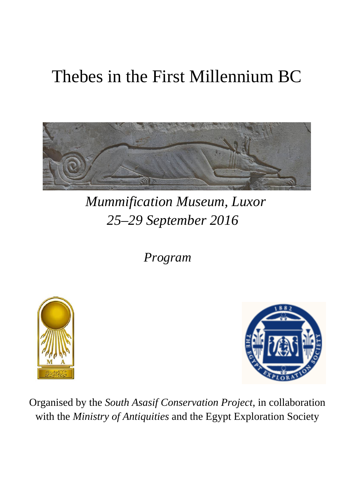# Thebes in the First Millennium BC



## *Mummification Museum, Luxor 25–29 September 2016*

 *Program*





Organised by the *South Asasif Conservation Project*, in collaboration with the *Ministry of Antiquities* and the Egypt Exploration Society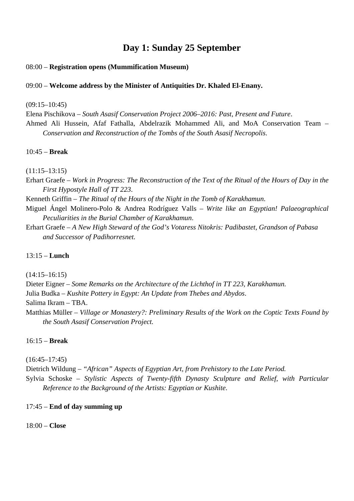## **Day 1: Sunday 25 September**

## 08:00 – **Registration opens (Mummification Museum)**

## 09:00 – **Welcome address by the Minister of Antiquities Dr. Khaled El-Enany.**

(09:15–10:45)

Elena Pischikova – *South Asasif Conservation Project 2006–2016: Past, Present and Future*. Ahmed Ali Hussein, Afaf Fathalla, Abdelrazik Mohammed Ali, and MoA Conservation Team – *Conservation and Reconstruction of the Tombs of the South Asasif Necropolis*.

## 10:45 – **Break**

(11:15–13:15)

- Erhart Graefe *Work in Progress: The Reconstruction of the Text of the Ritual of the Hours of Day in the First Hypostyle Hall of TT 223*.
- Kenneth Griffin *The Ritual of the Hours of the Night in the Tomb of Karakhamun*.
- Miguel Ángel Molinero-Polo & Andrea Rodríguez Valls *Write like an Egyptian! Palaeographical Peculiarities in the Burial Chamber of Karakhamun*.
- Erhart Graefe *A New High Steward of the God's Votaress Nitokris: Padibastet, Grandson of Pabasa and Successor of Padihorresnet.*

## 13:15 – **Lunch**

(14:15–16:15)

Dieter Eigner – *Some Remarks on the Architecture of the Lichthof in TT 223, Karakhamun.* 

Julia Budka – *Kushite Pottery in Egypt: An Update from Thebes and Abydos*.

Salima Ikram – TBA.

Matthias Müller – *Village or Monastery?: Preliminary Results of the Work on the Coptic Texts Found by the South Asasif Conservation Project.*

## 16:15 – **Break**

 $(16:45-17:45)$ 

Dietrich Wildung *– "African" Aspects of Egyptian Art, from Prehistory to the Late Period.*

Sylvia Schoske – *Stylistic Aspects of Twenty-fifth Dynasty Sculpture and Relief, with Particular Reference to the Background of the Artists: Egyptian or Kushite*.

## 17:45 – **End of day summing up**

18:00 – **Close**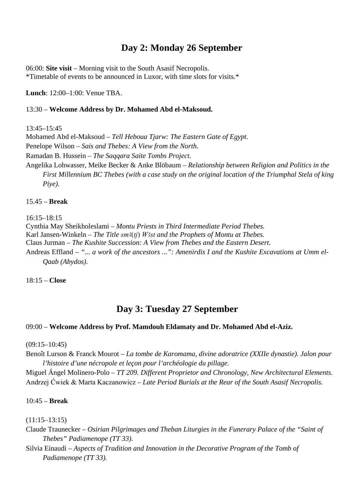## **Day 2: Monday 26 September**

06:00: **Site visit** – Morning visit to the South Asasif Necropolis. \*Timetable of events to be announced in Luxor, with time slots for visits.\*

**Lunch**: 12:00–1:00: Venue TBA.

#### 13:30 – **Welcome Address by Dr. Mohamed Abd el-Maksoud.**

13:45–15:45

Mohamed Abd el-Maksoud – *Tell Heboua Tjarw: The Eastern Gate of Egypt.* Penelope Wilson – *Sais and Thebes: A View from the North.* Ramadan B. Hussein – *The Saqqara Saite Tombs Project.* Angelika Lohwasser, Meike Becker & Anke Blöbaum – *Relationship between Religion and Politics in the First Millennium BC Thebes (with a case study on the original location of the Triumphal Stela of king Piye)*.

#### 15.45 – **Break**

16:15–18:15

Cynthia May Sheikholeslami – *Montu Priests in Third Intermediate Period Thebes.* Karl Jansen-Winkeln – *The Title sm3(tj) W3st and the Prophets of Montu at Thebes.* Claus Jurman – *The Kushite Succession: A View from Thebes and the Eastern Desert.* Andreas Effland *– "... a work of the ancestors ...": Amenirdis I and the Kushite Excavations at Umm el-Qaab (Abydos)*.

18:15 – **Close**

## **Day 3: Tuesday 27 September**

## 09:00 – **Welcome Address by Prof. Mamdouh Eldamaty and Dr. Mohamed Abd el-Aziz.**

(09:15–10:45)

Benoît Lurson & Franck Mourot – *La tombe de Karomama, divine adoratrice (XXIIe dynastie). Jalon pour l'histoire d'une nécropole et leçon pour l'archéologie du pillage.*

Miguel Ángel Molinero-Polo – *TT 209. Different Proprietor and Chronology, New Architectural Elements*. Andrzej Ćwiek & Marta Kaczanowicz – *Late Period Burials at the Rear of the South Asasif Necropolis.*

#### 10:45 – **Break**

(11:15–13:15)

Claude Traunecker – *Osirian Pilgrimages and Theban Liturgies in the Funerary Palace of the "Saint of Thebes" Padiamenope (TT 33).*

Silvia Einaudi – *Aspects of Tradition and Innovation in the Decorative Program of the Tomb of Padiamenope (TT 33).*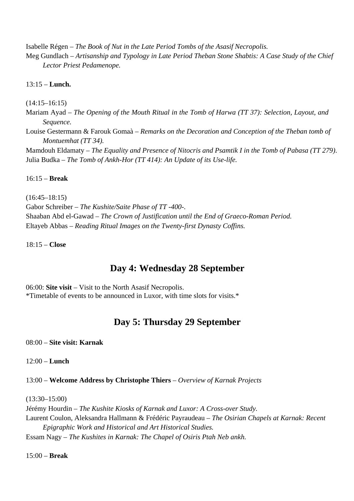Isabelle Régen – *The Book of Nut in the Late Period Tombs of the Asasif Necropolis.*

Meg Gundlach – *Artisanship and Typology in Late Period Theban Stone Shabtis: A Case Study of the Chief Lector Priest Pedamenope.*

13:15 – **Lunch.**

(14:15–16:15)

Mariam Ayad – *The Opening of the Mouth Ritual in the Tomb of Harwa (TT 37): Selection, Layout, and Sequence.*

Louise Gestermann & Farouk Gomaà – *Remarks on the Decoration and Conception of the Theban tomb of Montuemhat (TT 34).*

Mamdouh Eldamaty – *The Equality and Presence of Nitocris and Psamtik I in the Tomb of Pabasa (TT 279)*. Julia Budka – *The Tomb of Ankh-Hor (TT 414): An Update of its Use-life.*

16:15 – **Break**

 $(16:45-18:15)$ 

Gabor Schreiber – *The Kushite/Saite Phase of TT -400-.* Shaaban Abd el-Gawad *– The Crown of Justification until the End of Graeco-Roman Period.* Eltayeb Abbas – *Reading Ritual Images on the Twenty-first Dynasty Coffins.*

18:15 – **Close**

## **Day 4: Wednesday 28 September**

06:00: **Site visit** – Visit to the North Asasif Necropolis. \*Timetable of events to be announced in Luxor, with time slots for visits.\*

## **Day 5: Thursday 29 September**

08:00 – **Site visit: Karnak**

12:00 – **Lunch**

13:00 – **Welcome Address by Christophe Thiers** *– Overview of Karnak Projects*

(13:30–15:00)

Jérémy Hourdin – *The Kushite Kiosks of Karnak and Luxor: A Cross-over Study.* Laurent Coulon, Aleksandra Hallmann & Frédéric Payraudeau – *The Osirian Chapels at Karnak: Recent Epigraphic Work and Historical and Art Historical Studies.* Essam Nagy – *The Kushites in Karnak: The Chapel of Osiris Ptah Neb ankh.*

15:00 – **Break**